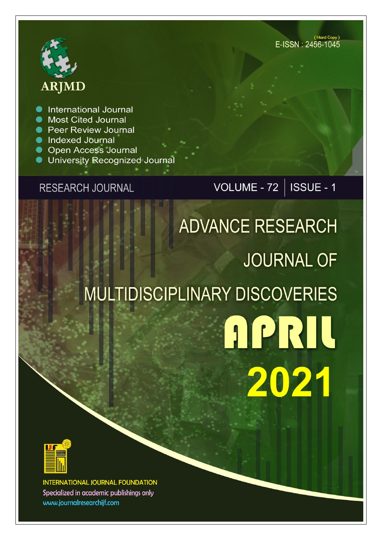

**International Journal** 

- **Most Cited Journal**
- Peer Review Journal
- **Indexed Journal**
- Open Access Journal
- **University Recognized Journal**

## **RESEARCH JOURNAL**

VOLUME - 72 | ISSUE - 1

# **ADVANCE RESEARCH JOURNAL OF MULTIDISCIPLINARY DISCOVERIES APRIL** 2021



INTERNATIONAL JOURNAL FOUNDATION Specialized in academic publishings only www.journalresearchijf.com

(Hard Copy) E-ISSN: 2456-1045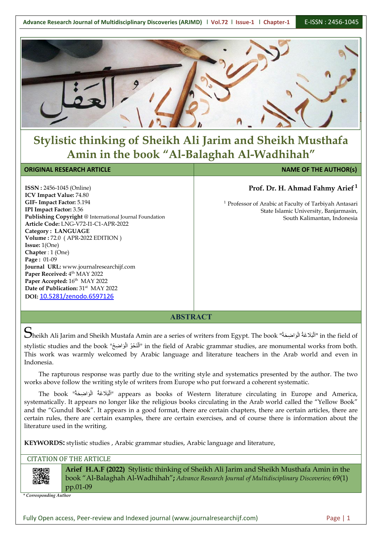

## **Stylistic thinking of Sheikh Ali Jarim and Sheikh Musthafa Amin in the book "Al-Balaghah Al-Wadhihah"**

**ABSTRACT**

 $S$ heikh Ali Jarim and Sheikh Mustafa Amin are a series of writers from Egypt. The book "أَلْبَلَاغَةُ الْوَاضِحَةُ" in the field of  $\big|\big|$ 

stylistic studies and the book "أَلْنَحْوُ الْوَاضِيحُ" in the field of Arabic grammar studies, are monumental works from both.  $\big|\big|$ This work was warmly welcomed by Arabic language and literature teachers in the Arab world and even in Indonesia.

The rapturous response was partly due to the writing style and systematics presented by the author. The two works above follow the writing style of writers from Europe who put forward a coherent systematic.

The book "أَلْبَلَاغَةُ الْوَاضِحَةُ" appears as books of Western literature circulating in Europe and America,  $\big|\big|$ systematically. It appears no longer like the religious books circulating in the Arab world called the "Yellow Book" and the "Gundul Book". It appears in a good format, there are certain chapters, there are certain articles, there are certain rules, there are certain examples, there are certain exercises, and of course there is information about the literature used in the writing.

**KEYWORDS:** stylistic studies , Arabic grammar studies, Arabic language and literature,

#### CITATION OF THE ARTICLE

**Arief H.A.F (2022)** Stylistic thinking of Sheikh Ali Jarim and Sheikh Musthafa Amin in the book "Al-Balaghah Al-Wadhihah"**;** *Advance Research Journal ofMultidisciplinary Discoveries;* 69(1) pp.01-09

*\* Corresponding Author*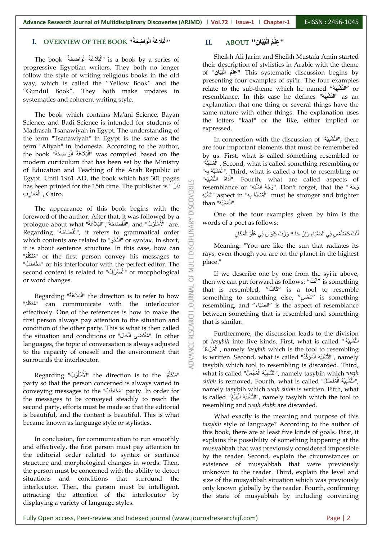#### **حَا ضِ حَُة" BOOK THE OF OVERVIEW .I اْل حَ حَُة بح**

overview of the BOOK "أَلْبَلَاغُهُّ الْوَاضِحَة".<br>The book "أَلْبَلَاغَةُ الْوَاضِحَةُ" is a book by a series of "أَلْبَلَاغَةُ الْوَاضِحَةُ".<br>the description of "أَلْبَلَاغَةُ الْوَاضِحَةُ". progressive Egyptian writers. They both no longer follow the style of writing religious books in the old way, which is called the "Yellow Book" and the "Gundul Book". They both make updates in systematics and coherent writing style.

The book which contains Ma'ani Science, Bayan Science, and Badi Science is intended for students of Madrasah Tsanawiyah in Egypt. The understanding of the term "Tsanawiyah" in Egypt is the same as the term "Aliyah" in Indonesia. According to the author, the book "أَلْبَلَاغَةُ الْوَاضِحَةُ" (was compiled based on the by us. First modern curriculum that has been set by the Ministry of Education and Teaching of the Arab Republic of Egypt. Until 1961 AD, the book which has 301 pages has been printed for the 15th time. The publisher is " أَوَ بِهِ اللَّهُ السَّنَّةُ الصَّنَاءُ". Don't forget, that the " وَجُهُ الشَّنَةُ". الله: المُسْتَقَدُّ الصَّنْ الصَّنْ الصَّنْ لِأَهَعَارِفِ", Cairo.

The appearance of this book begins with the foreword of the author. After that, it was followed by a<br>prologue about what "أَللْمَسْكَةُ", and "أَللْمَسْكَةُ" are.<br>Regarding "أَللْمَنْكَةُ", it refers to grammatical order<br>which contents are related to "الْمَنْكُمْ" بحَح حَُة" what about prologue حَا حَُة","اْل َح حَا حَُة" Regarding .are" الأة لُْة لَ ةُ" and ,"اْل الْغَ", it refers to grammatical order  $\leqq$ which contents are related to "الْمَنْحُو" or syntax. In short,  $\overline{\overline{\bigoplus}}$ it is about sentence structure. In this case, how can مُنْكَلِّمٌ" or the first person convey his messages to  $\overline{a}$  rays, even thou "مُخَاطَبٌ" or his interlocutor with the perfect editor. The  $\equiv$  Place." second content is related to "الْمَنْرْفُ" or morphological

لِمُتَكَلِّمٌ "can communicate with the interlocutor [2] resembli effectively. One of the references is how to make the first person always pay attention to the situation and condition of the other party. This is what is then called the situation and conditions or "المُقْتَضَى الْحَلِل" first person always pay attention to the situation and condition of the other party. This is what is then called the situation and conditions or "لِمُقْتَضَى الْحَالِ". In other  $\mathbb{E}$  further languages, the topic of conversation is always adjusted to the capacity of oneself and the environment that surrounds the interlocutor.

Regarding "ُة َل ةُْل الأة "the direction is to the "ٌم لُحك ةمتح "party so that the person concerned is always varied in conveying messages to the "ٌم for order In .party" ةم حَاَح the messages to be conveyed steadily to reach the second party, efforts must be made so that the editorial is beautiful, and the content is beautiful. This is what became known as language style or stylistics.

In conclusion, for communication to run smoothly and effectively, the first person must pay attention to the editorial order related to syntax or sentence structure and morphological changes in words. Then, the person must be concerned with the ability to detect situations and conditions that surround the interlocutor. Then, the person must be intelligent, attracting the attention of the interlocutor by displaying a variety of language styles.

## **بحَحا ضِ" ABOUT .II ةُ اْل " ضِْل**

Sheikh Ali Jarim and Sheikh Mustafa Amin started their description of stylistics in Arabic with the theme **بحَحا ضِ**" of **ةُ اْل لِْض "** This systematic discussion begins by presenting four examples of syi'ir. The four examples relate to the sub-theme which he named "ةُْل بضْل تصْا "or resemblance. In this case he defines "ةُْل بضْل تصْا "as an explanation that one thing or several things have the same nature with other things. The explanation uses the letters "kaaf" or the like, either implied or expressed.

In connection with the discussion of "ةُْل بضْل تصْا", there are four important elements that must be remembered by us. First, what is called something resembled or ةَ حْبصُة" لْا". Second, what is called something resembling or ةَ حْبصُة ِض ضُ" لْا". Third, what is called a tool to resembling or اَاْدَاةُ النَّشْبِيْهِ". Fourth, what are called aspects of  $\mid$ resemblance or "وَجُّهُ " i Don't forget, that the "وَجُّهُ الشَّبَدِ».<br>" aspect in "الْمُثْنَيَّهُ بِهِ " must be stronger and brighter than "الْمُشْبَّهُ".

One of the four examples given by him is the words of a poet as follows:

الْمَنْكَ كَالشَّمْسِ فِي الضَّيَاءِ وَإِنْ جَا \* وَزْتَ كِيْوَانَ فِي عُلُوٍّ الْمَكَانِ

Meaning: "You are like the sun that radiates its rays, even though you are on the planet in the highest place."

or word changes.<br>"كَافٌ" (Regarding "أَلْبَلاَغَةُ" the direction is to refer to how اللَّهُ something to something to something If we describe one by one from the syi'ir above, then we can put forward as follows: "لَنْتَ " is something  $\; \; \; | \; \;$ that is resembled, "كَافٌ" is a tool to resemble something to something else, "سَمْسٍ" is something resembling, and "الْتَنْبَاءِ" is the aspect of resemblance between something that is resembled and something that is similar.

> Furthermore, the discussion leads to the division of *tasybih* into five kinds. First, what is called " التَّشْبيْهُ ةَ لْ حْ ةُ لْا", namely *tasybih* which is the tool to resembling is written. Second, what is called "النَّشْبِيْهُ الْمُوَكَّدُ", namely " tasybih which tool to resembling is discarded. Third, what is called "التَّشْبِيُهُ الْمُجْمَلُ", namely tasybih which  $wajh$ s*hibh* is removed. Fourth, what is called "أَنْتَشْبِيْهُ الْمُفَصَّل", namely tasybih which *wajh shibh* is written.Fifth, what is called "النَّشْبِيْهُ الْمَلِيْغُ". namely tasybih which the tool to resembling and *wajh shibh* are discarded.

What exactly is the meaning and purpose of this *tasybih* style of language? According to the author of this book, there are at least five kinds of goals. First, it explains the possibility of something happening at the musyabbah that was previously considered impossible by the reader. Second, explain the circumstances or existence of musyabbah that were previously unknown to the reader. Third, explain the level and size of the musyabbah situation which was previously only known globally by the reader. Fourth, confirming the state of musyabbah by including convincing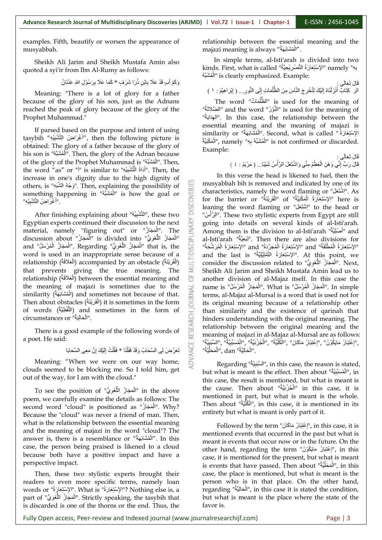examples. Fifth, beautify or worsen the appearance of musyabbah.

Sheikh Ali Jarim and Sheikh Mustafa Amin also quoted a syi'ir from Ibn Al-Rumy as follows:

الِ سٍ ُة حُا حَ حْ سِ \* حِحَا حعحَ ِض حْ ةْ لَ ضِ لض حع لُْحاةِ سُ َح لُ حعحَِض حَ ٌلِحَح

Meaning: "There is a lot of glory for a father because of the glory of his son, just as the Adnans reached the peak of glory because of the glory of the Prophet Muhammad."

If parsed based on the purpose and intent of using tasybih "أَغْرَاضُ التَّشْبيْهِ", then the following picture is obtained: The glory of a father because of the glory of his son is "أَلْمُشَبَّهُ". Then, the glory of the Adnan because  $\qquad$   $\qquad$   $\qquad$   $\qquad$ of the glory of the Prophet Muhammad is "الْمُشْتَبُهُ". Then, the word "as" or "أَ" is similar to "أَدَاةُ الْتُّشْبِيُهِ". Then, the increase in one's dignity due to the high dignity of others, is "وَجْهُ الشَّبَهِ". Then, explaining the possibility of<br>something happening in "الْمُمْتَبَهُ" is how the goal or<br>"الْغُرَاضُ التَّشْيِيُهِ".<br>After finishing explaining about "النَّشْينُهُ" these two ةَ حْبصُة" in happening something لْا "is how the goal or

" اَأَغْرَاضُ النَّشْبِيُّة"<br>Kese two these ,"النَّشْبِيُّة" After finishing explaining about "النَّشْبِيْة", these two Egyptian experts continued their discussion to the next<br>material, namely "figuring out" or "الْمَجَا Egyptian experts continued their discussion to the next material, namely "figuring out" or "إِنْهَجَازُ" The  $\geq$ discussion about "الْمَجَازُ اللَّغَوِيُّ" is divided into "الْمَجَازُ" al َ" al-Isti'arah "الْمَجَازُ اللَّغَوِيُّ" is divided into "الْمَجَازُ" al-Isti'arah<br>and "الْمَجَازُ اللَّغَوِيُّ" that is, the "الْمَجَازُ الْمُرْسَلُ" and "الْمَجَازُ الْمُرْسَلُ" and word is used in an inappropriate sense because of a relationship (أَلْقَرِيْنَةُ) accompanied by an obstacle (الْعَلَاقَةُ) (relationship that prevents giving the true meaning. The relationship (الْعَلَاقَةُ) between the essential meaning and cher division the meaning of majazi is sometimes due to the similarity (الْمُشْآنِهَةُ) and sometimes not because of that.<br>Then about obtacles (الْقُرِيَّنَةُ) it is sometimes in the form similarity (الْمُشَابَعَةُ) and sometimes not because of that.  $\quad \Xi \overline{\cong} \quad$  tern Then about obstacles (أَلْقَرِيْنَةُ) it is sometimes in the form  $\overrightarrow{S}$  its original meaning because of words (اللَّفْظِيَّةُ) and sometimes in the form of  $\overline{\mathbb{F}}$  than similarity and the circumstances or "الْحَالِيَةُ".

There is a good example of the following words of a poet. He said:

صِ حمضَى اْ صّ حَاِحا ْح لْ حَ ِض ةَ ِض ُل َحا \* ِحْة حَ صْ حُ ْضى اْ صّ حَا ةُ حََح لُ َحَحُل تح

Meaning: "When we were on our way home, clouds seemed to be blocking me. So I told him, get out of the way, for I am with the cloud."

the cause. in the above "الْمَجَازُ اللَّغَوِيُّ" To see the position of " poem, we carefully examine the details as follows: The second word "cloud" is positioned as "الْمَجَاز". Why? Because the "cloud" was never a friend of man. Then, what is the relationship between the essential meaning and the meaning of majazi in the word "cloud"? The answer is, there is a resemblance or "اَلْمُشَابَهَةُ". In this meant is eve case, the person being praised is likened to a cloud because both have a positive impact and have a perspective impact.

Then, these two stylistic experts brought their readers to even more specific terms, namely loan words or "الإِسْتِعَارَةُ" What is . الإِسْتِعَادِةُ" What is "بِالْمُسْتِعَارَةُ" part of "الْمَجَازُ اللَّغَوِيُّ". Strictly speaking, the tasybih that but what is is discarded is one of the thorns or the end. Thus, the

relationship between the essential meaning and the majazi meaning is always "أَلْمُشَابَهَةُ".

In simple terms, al-Isti'arah is divided into two kinds. First, what is called "ٱلْإِسْتِعَارَةُ التَّصْرِيْحِيَّةُ" (Kinds. First, what is called الْمُشْبَهُ" is clearly emphasized. Example:

حَاْحى : َحا حِ تح ْحى اَْتَ ض...ُ ) ِض لِ حْا ضِلْةٌ : ١ ( ا حَ ضم حٍ اْ تظُة حَا ضَ ِض ْح لْ حَ ْضتة لَ ضْ حَ اَْص َحاُة ِض حَْل ْل اْْ ضِتحا مُ َح

The word "الظّلُمَاتٌ" is used for the meaning of "الْنُوْرُ" and the word "الْضَلَالَةُ" is used for the meaning of "ةُحْاُحَض ْا". In this case, the relationship between the essential meaning and the meaning of majazi is similarity or "الْمُشَابَهَة" Second, what is called . "إِسْتِعَارَةُ" لْمُشْبَّهُ بِهِ" namely "الْمُشْبَّهُ بِهِ", namely "الْمَكْنِيَّةُ", namely Example:

حَاْحى : َحا حِ تح ةَ حَلْببا... ) حم لْْح لٌ : ٤ ( حَ حُ اْ صَْل حَ لظةٌ ضمَلي حَا لَتح َحا حِ حُ لُِضْلي حَِح حٍ اْل

In this verse the head is likened to fuel, then the musyabbah bih is removed and indicated by one of its characteristics, namely the word flaming or "إشْتَعَلْ". As  $\;$ for the barrier or "الْمَهْنِيَّةُ" of "الْمَوْرِيْنَةُ" here is leaning the word flaming or "إشْتَغَل" to the head or  $\mid$ ةَ" لَْص ْا". These two stylistic experts from Egypt are still going into details on several kinds of al-Isti'arah. Among them is the division to al-Isti'arah "أَصْلِيَّةٌ" al-Isti'arah "مُصَْض تحبح". Then there are also divisions for "الإِسْتِعَارَةُ الْمُطْلَقَةُ" and "الإِسْتِعَارَةُ الْمُجَرَّدَةُ" and "الإِسْتِعَارَةُ الْمُرَشَّحَةُ" "الإسْتِعَارَةُ الْمُطْلَقَةُ" and "الإسْتِعَارَةُ الْمُجَرَّدَةُ" and the last is "الإسْتِعَارَةُ الْمُرَشَحَة<br>"and the last is "الإسْتِعَارَةُ التَّمْثِيْلِيَّةُ" and the last is consider the discussion related to "الْمُجَازُ اللَّغَوِيُّ". Next, Sheikh Ali Jarim and Sheikh Mustafa Amin lead us to another division of al-Majaz itself. In this case the name is "الْمَجَازُ الْمُرْسَلُ". What is "الْمَجَازُ الْمُرْسَلُ". In simple terms, al-Majaz al-Mursal is a word that is used not for its original meaning because of a relationship other than similarity and the existence of qarinah that hinders understanding with the original meaning. The relationship between the original meaning and the meaning of majazi in al-Majaz al-Mursal are as follows: "إِعْتِبَارُ مَايَكُوْنُ" ,"إِعْتِبَارُ مَاكَانَ" ,"الْكُلِّيَّةُ" ,"الْمُزْنِيَّةُ" ,"الْمُسَبِّيِّةُ" ,"السَّبَبِيَّةُ" ,"السَّبَبِيَّةُ" ,"السَّبَبِيَّةُ" ,"<br>الْحَالِيَّةُ" , dan ,"الْحَالِيَّةُ" , dan ". الْحَالِيَّةُ'' , dan ,''الْمَحَلِّ

<sup>ّا ا</sup>لْحَالِيَّةُ".<br>Regarding "السَّبَدِيَّةُ", in this case, the reason is stated, but what is meant is the effect. Then about "الْمُسَنَبِيَّةُ", in , this case, the result is mentioned, but what is meant is the cause. Then about "الْجُزْئِيَّةُ" in this case, it is  $\mid$ mentioned in part, but what is meant is the whole. Then about "ةُصْ ةكُل لْا", in this case, it is mentioned in its entirety but what is meant is only part of it.

Followed by the term "إِعْتِبَارُ مَاكَانَ", in this case, it is mentioned events that occurred in the past but what is meant is events that occur now or in the future. On the other hand, regarding the term "إِعْتِبَارُ مَايَكُوْنُ", in this  $\mid$ case, it is mentioned for the present, but what is meant is events that have passed. Then about "الْمَحَلَّيَّةُ", in this  $\,$   $\,$ case, the place is mentioned, but what is meant is the person who is in that place. On the other hand, regarding "الْحَالِيَّة", in this case it is stated the condition,  $\; \; \; | \;$ but what is meant is the place where the state of the favor is.

Fully Open access, Peer-review and Indexed journal (www.journalresearchijf.com) Page | 3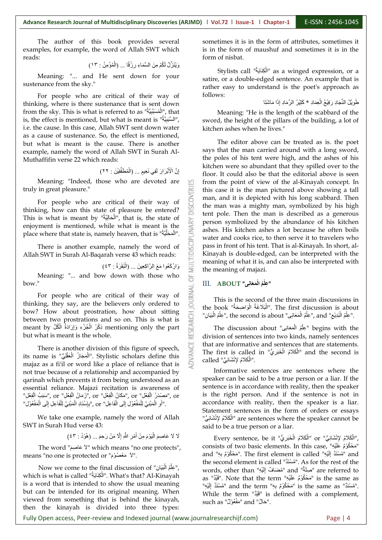The author of this book provides several examples, for example, the word of Allah SWT which reads:

مْ مِنَ السَّمَاءِ رِزْقًا ... (الْمُؤْمِنُ : ١٣)

Meaning: "... and He sent down for your sustenance from the sky."

For people who are critical of their way of thinking, where is there sustenance that is sent down from the sky. This is what is referred to as "أَلْمُسْتَبِيَّةُ", that is, the effect is mentioned, but what is meant is "السَّنِيّةُ", " sw i.e. the cause. In this case, Allah SWT sent down water as a cause of sustenance. So, the effect is mentioned, but what is meant is the cause. There is another example, namely the word of Allah SWT in Surah Al-Muthaffifin verse <sup>22</sup> which reads:

> إِنَّ الْأَبْرَارَ لَفِي نَعِيمٍ ... (الْمُطَفِّفِيْنَ : ٢٢) ِ<br>ا

> > B

Meaning: "Indeed, those who are devoted are truly in great pleasure."

For people who are critical of their way of  $\frac{5}{10}$  sing, how can this state of pleasure be entered? thinking, how can this state of pleasure be entered? This is what is meant by "الْمَحَالِيَّةُ", that is, the state of  $\geq$  norson of This is what is meant by "المحالية", that is, the state of<br>enjoyment is mentioned, while what is meant is the<br>place where that state is, namely heaven, that is "الْمَخَلَّيَّة".<br>There is another example, namely the word place where that state is, namely heaven, that is "الْمَحَلَّيَّة".  $\Xi$   $\Xi$ 

There is another example, namely the word of Allah SWT in Surah Al-Baqarah verse 43 which reads:

رْكَعُوا مَعَ الرَّاكِعِينَ … (الْبَقَرَةُ : ٤٣)

Meaning: "... and bow down with those who  $\Box$ 

bow."<br>For people who are critical of their way of<br>thinking, they say, are the believers only ordered to thinking, they say, are the believers only ordered to bow? How about prostration, how about sitting<br>between two prostrations and so on. This is what is<br>meant by أَيُّلُ الْجُزْءِ وَإِرَادَةُ الْكُلِّ mentioning only the part<br>but what is meant is the whole. between two prostrations and so on. This is what is meant by ذِكْرُ الْمُزْءِ وَإِرَادَةٌ الْكُلِّ mentioning only the part  $\tilde{\mathbb{Q}}$  The but what is meant is the whole.

There is another division of this figure of speech, its name is "الْمَجَازُ الْعَقْلِيُّ". Stylistic scholars define this حَتَّابِيُّ". its name is majaz as a fi'il or word like a place of reliance that is not true because of a relationship and accompanied by qarinah which prevents it from being understood as an essential reliance. Majazi recitation is awareness of "(هَمَانُ الْفِعْلِ" or ,"مَكَانُ الْفِعْلِ" or ,"(كَمَانُ الْفِعْلِ" or ,"سَبَبُ الْفِعْلِ"), or .''أُوِ الْمَبْنِيِّ لِلْمَفْعُوْلِ إِلَى الْفَاعِلِ'' or ,''بِإِسْنَادِ الْمَبْنِيِّ لِلْفَاعِلِ إِلَى الْمَفْعُوْلِ''

We take one example, namely the word of Allah SWT in Surah Hud verse 43:

عَاصِمَ الْيَوْمَ مِنْ أَمْرِ اللَّهِ إِلَّا مَنْ رَحِمَ ... (هُوْدُ : ٤٣)

حعا ضصٌح" word The حّ حّ حعا ضصٌح حّ "which means "no one protects", means "no one is protected or "حَعْصُوْمَ".

Now we come to the final discussion of "عِلْمُ الْبَيَانِ", wor Mow we come to the final discussion of "صِلْمُ الْبَيَانِ", words, other that<br>"words, other that". What's that? Al-Kinayah الْكِنَانِيَّة". Note that!" is a word that is intended to show the usual meaning but can be intended for its original meaning. When viewed from something that is behind the kinayah, then the kinayah is divided into three types:

sometimes it is in the form of attributes, sometimes it is in the form of maushuf and sometimes it is in the form of nisbat.

Stylists call "ةُحْحاَضك لْا "as a winged expression, or a satire, or a double-edged sentence. An example that is rather easy to understand is the poet's approach as follows:

| طَوِيْلُ النَّجَادِ رَفِيْعُ الْعِمَادِ \* كَثِيْرُ الرَّمَادِ إِذَا مَاشْتَا

Meaning: "He is the length of the scabbard of the sword, the height of the pillars of the building, a lot of kitchen ashes when he lives."

The editor above can be treated as is. the poet says that the man carried around with a long sword, the poles of his tent were high, and the ashes of his kitchen were so abundant that they spilled over to the floor. It could also be that the editorial above is seen from the point of view of the al-Kinayah concept. In this case it is the man pictured above showing a tall man, and it is depicted with his long scabbard. Then the man was a mighty man, symbolized by his high tent pole. Then the man is described as a generous person symbolized by the abundance of his kitchen ashes. His kitchen ashes a lot because he often boils water and cooks rice, to then serve it to travelers who pass in front of his tent. That is al-Kinayah. In short, al- Kinayah is double-edged, can be interpreted with the meaning of what it is, and can also be interpreted with the meaning of majazi.

#### III. **ABOUT "ضىِاَح َح ةُ اْل لِْض "**

This is the second of the three main discussions in the book "أَلْبَلَاغَةُ الْوَاضِحَةُ" she book the book "الْبَلَاغَةُ الْوَاضِحَةُ" The first discussion is about .<br>"عِلْمُ الْبَنِيْعِ" , and ,"عِلْمُ الْمَعَانِي" , the second is about ,"عِلْمُ الْبَيَانِ".

لِّطُمُ الْبَدِيْعِ" , and "عِلْمُ الْمَعَانِى" , the second is about ,"عِلْمُ الْ $\,$ ", and "عِلْمُ الْمَعَانِى".<br>The discussion about "عِلْمُ الْمَعَانِى" begins with the division of sentences into two kinds, namely sentences that are informative and sentences that are statements. The first is called in "الْكَلَامُ الْخَبَرِيُّ" and the second is  $\mid$ called "الْكَلَامُ لِإِنْشَائِيُ".

Informative sentences are sentences where the speaker can be said tobe a true person or a liar. If the sentence is in accordance with reality, then the speaker is the right person. And if the sentence is not in accordance with reality, then the speaker is a liar. Statement sentences in the form of orders or essays "الْكَلَامُ لِإِنْشَائِيُ" are sentences where the speaker cannot be  $\; \; | \; \;$ 

said to be a true person or a liar.<br>Every sentence, be it "الْكَلَامُ الْخَلَامُ الْخَلَامُ الْخَلَامُ الْخَلَامُ الْخَلَامُ الْخَلَامُ الْخَلَام consists of two basic elements. In this case, "حَحْوُمٌ عَلَيْهِ and "مُمْسْنَدٌ إِلَيْهِ". The first element is called "مُمْسْنَدٌ إِلَيْهِ the second element is called "ُحمَّلةم". As for the rest of the words, other than "مُضَافٌ إلَيْهِ and "صِلَةٌ" are referred to as "أَقَيْدٌ s the same as". Note that the term "مَحْكُوْمٌ عَلَيْهِ "امُسْنَدٌ" and the term "مَحْكُوْمٌ بِهِ" is the same as "مُسْنَدٌ" إِلَيْهِ" While the term "هَيْدٌ" is defined with a complement, such as "مَفْعُوْلُ" and ".

Fully Open access, Peer-review and Indexed journal (www.journalresearchijf.com) Page | 4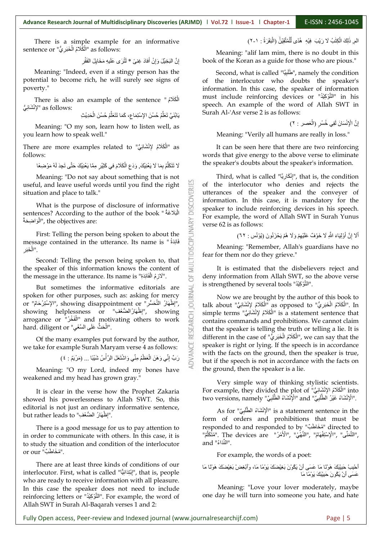There is a simple example for an informative sentence or "الْكَّلَامُ الْخَبَرِيُّ" as follows:

> إِنَّ الْبَخِيْلَ وَإِنْ أَفادَ غِنيً \* لَثُرَى عَلَيهِ مَخَايِلَ الفَقْرِ  $\int_{a}$

Meaning: "Indeed, even if a stingy person has the potential to become rich, he will surely see signs of poverty."

There is also an example of the sentence "الْمَكَلَامُ" لِمْنْشَائِيٌ" as follows:

يَابُنَيَّ تَعَلُّمْ حُسْنَ الإِسْتِمَاعِ، كَمَا تَتَعَلَّمُ حُسْنَ الْحَدِيْثِ

Meaning: "O my son, learn how to listen well, as you learn how to speak well."

There are more examples related to "الْمُكَلَّامُ لإِنْشَانِيُّ" as follows:

ine sp لَا تَتَكَلَّمْ بِمَا لَا يَغْنِيْكَ, وَدَعِ الْكَلَامَ فِي كَثِيْرٍ مِمَّا يَغْنِيْكَ حَتَّى تَجِدَ لَهُ مَوْضِعًا<br>Meaning: "Do not say about something that is not T

useful, and leave useful words until you find the right situation and place to talk."

What is the purpose of disclosure of informative بح اْل لْوَاضِحَةُ)", the objectives are:

sentences? According to the author of the book " الْمَلاَغَة<br>"<br>" الرَّاسِحَة ", the objectives are:<br>First: Telling the person being spoken to about the<br>message contained in the utterance. Its name is " وَأَبْدَهُ "<br>Second First: Telling the person being spoken to about the message contained in the utterance. Its name is " فَائِدَةُ الْخَبَرِ

Second: Telling the person being spoken to, that the speaker of this information knows the content of the message in the utterance. Its name is "أَلَازِمُ الْغَائِدَةِ".  $\overline{\circlearrowright}$ 

But sometimes the informative editorials are is strengthened by several tools "النَّوْكِيْدُ".<br>En for other purposes, such as: asking for mercy Now we are brought by the authority", showing disappointment or spoken for other purposes, such as: asking for mercy or "الإِضْمَارُ", showing disappointment or "إِضْمَارُ" التَّتَحَسُّرِ"), showing helplessness or "إِضْمَارُ الضَّعْفُو", showing arrogance or "الْمَغْذُر" and motivating others to work hard diligent or "الْمَنْثُ عَلَى ا arrogance or "الْفَغْر" and motivating others to work contains comma hard. diligent or "الْحَثَّ عَلَى السَّعْيِ".

Of the many examples put forward by the author, we take for example Surah Maryam verse 4 as follows:

هَنَ الْعَظْمُ مِنِّي وَاشْتَعَلَ الرَّأْسُ شَنِيْنَا … (مَرْيَمُ : ٤)

حَ رَبُّ إِنِّي وَهَنَ الْعَظْمُ مِنْي وَاشْتَعَلَ الرّاسُ شَيْئِبًا ... (مَرْيَمُ : ٤)<br>Meaning: "O my Lord, indeed my bones have weakened and my head has grown gray."

It is clear in the verse how the Prophet Zakaria showed his powerlessness to Allah SWT. So, this editorial is not just an ordinary informative sentence, but rather leads to "إِطْهَارُ الْضُعْفِ".

There is a good message for us to pay attention to in order to communicate with others. In this case, it is to study the situation and condition of the interlocutor or our "مُخَاطَبٌ".

There are at least three kinds of conditions of our interlocutor. First, what is called "إِنْتِدَائِيًّا", that is, people who are ready to receive information with all pleasure. In this case the speaker does not need to include Meaning: "Love your lover moderately, maybe reinforcing letters or "النَّوْكِيْدُ". For example, the word of Allah SWT in Surah Al-Baqarah verses 1 and 2:

اْلْمَ, ذٰلِكَ الْكِتْبُ لَا رَيْبَ فِيْهِ ۚ هُدًى لِّلْمُتَّقِيْنٌ (الْبَقَرَةُ : ١-٢)

Meaning: "alif lam mim, there is no doubt in this book of the Koran as a guide for those who are pious."

Second, what is called "طْلَبِيَّا", namely the condition  $\; \; | \;$ of the interlocutor who doubts the speaker's information. In this case, the speaker of information must include reinforcing devices or "ُة ْلِض َل تصْا "in his speech. An example of the word of Allah SWT in Surah Al-'Asr verse 2 is as follows:

> | إِنَّ الْإِنْسَانَ لَفِي خُسْرٍ (الْعَصر : ٢) ِض

Meaning: "Verily all humans are really in loss."

It can be seen here that there are two reinforcing words that give energy to the above verse to eliminate the speaker's doubts about the speaker's information.

Third, what is called "إِنْكَارِيَّا", that is, the condition  $\; \; \; | \;$ of the interlocutor who denies and rejects the utterances of the speaker and the conveyer of information. In this case, it is mandatory for the speaker to include reinforcing devices in his speech. For example, the word of Allah SWT in Surah Yunus verse 62 is as follows:

> | أَلَا إِنَّ أَوْلِيَاءَ اللَّهِ لَا خَوْفٌ عَلَيْهِمْ وَلَا هُمْ يَحْزَنُونَ (يُوْنُس : ٦٢) َح

Meaning: "Remember, Allah's guardians have no fear for them nor do they grieve."

It is estimated that the disbelievers reject and deny information from Allah SWT, so the above verse

Now we are brought by the author of this book to talk about "الْكَلَامُ الْخَبَرِيُّ" as opposed to "الْكَلَامُ لِإِنْشَائِيُّ". In . simple terms "الْكَلَامُ لِإِنْشَائِيُ" is a statement sentence that contains commands and prohibitions. We cannot claim that the speaker is telling the truth or telling a lie. It is  $\operatorname{different}$  in the case of "الْمَكَلَامُ الْخَبَرِيُّ", we can say that the speaker is right or lying. If the speech is in accordance with the facts on the ground, then the speaker is true, but if the speech is not in accordance with the facts on the ground, then the speaker is a lie.

Very simple way of thinking stylistic scientists. For example, they divided the plot of "تي ائضْح حكحَةَ ا ضإْل into" اْل two versions, namely "الْإِنْشَاءُ الطَّلْبِيِّ" and "الْإِنْشَاءُ الطَّلْبِيِّ" is a statement sentence in the<br>As for "الإِنْشَاءُ الطَّلَبِيِّ" is a statement sentence in the

الْإِنْشَاءُ الطَّ $\parallel$  is a statement sentence in the form of orders and prohibitions that must be responded to and responded to by "مُخَاطَبٌ" directed to "الْأَهْنِ" ,"الْأَهْنِ". The devices are "الْمُتَكَلِّمَ", "النَّعَنَّى", "النَّكَاءُ",","<br>and "النَّعَهَ".<br>For example, the words of a poet:

| أَحْلِبْ حَلِيْبَكَ هَوْنَـا مَا عَسَى أَنْ يَكُوْنَ بَغِيْضَكَ يَوْمًا مَا، وَٱبْغِضْلُ بِغِيْضَكَ هَوْنْنا مَا

عَسَى اَنْ يَكُونَ حَبِيْبَكَ يَوْمًا مَا<br>Meaning: "Love your lover moderately, maybe one day he will turn into someone you hate, and hate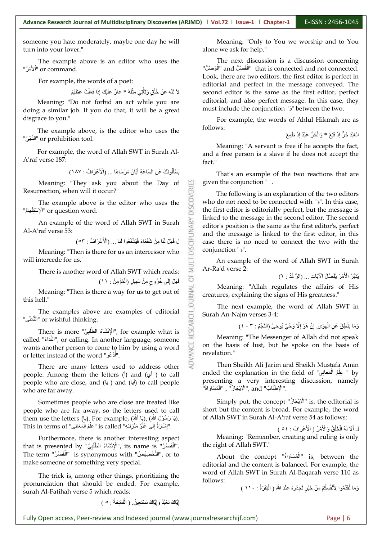someone you hate moderately, maybe one day he will turn into your lover."

The example above is an editor who uses the "ألأَهْرُ" or command.

For example, the words of a poet:

؛ لاَ تَنْهَ عَنْ خُلُقٍ وَتَأْتِيَ مِثْلُهُ \* عَارٌ عَلَيْكَ إِذَا فَعَلْتَ عَظِيْمٌ

Meaning: "Do not forbid an act while you are doing a similar job. If you do that, it will be a great disgrace to you."

The example above, is the editor who uses the "النَّهْى

For example, the word of Allah SWT in Surah Al- A'raf verse 187:

يَسْأَلُونَكَ عَنِ السَّاعَةِ أَيَّانَ مُرْسَاهَا ... (الْأَعْرَافُ : ١٨٧)

Meaning: "They ask you about the Day of  $\Box$ <br>rrection, when will it occur?" Resurrection, when will it occur?"

The example above is the editor who uses the  $\frac{5}{9}$ <br>  $\frac{1}{2}$ <sup>1</sup> or question word. "الْإِسْتِفْهَامُ" or question word.

An example of the word of Allah SWT in Surah<br>Traf verse 53:<br>مَانَّ فَيَانَ لَذَا مِنْ شُفَعَاءَ فَيَشْفَعُوا لَذَا ... (الْأَعْزَافُ : ٥٣)<br>Meaning: "Then is there for us an intercessor who Al-A'raf verse 53:

ةََا ْحَحا ... )الأح لع حْا ةِ : ٥٣( حَا حِ ِحْح لَْح ِ ِحَح لُ ْحَحا ضملٍ ةََح

Meaning: "Then is there for us an intercessor who will intercede for us."

There is another word of Allah SWT which reads:

ي فَهَلْ إِلَىٰ خُرُوجٍ مِنْ سَبِيلٍ (الْمُؤْمِنُ : ١١)

Meaning: "Then is there a way for us to get out of  $\overrightarrow{g}$ this hell."

"النَّمَنِّى" or wishful thinking.

The examples above are examples of editorial<br>
" or wishful thinking.<br>
There is more  $\frac{1}{2}$   $\frac{1}{2}$   $\frac{1}{2}$   $\frac{1}{2}$   $\frac{1}{2}$ , for example what is<br>  $\frac{1}{2}$ <br>  $\frac{1}{2}$   $\frac{1}{2}$   $\frac{1}{2}$ , or calling. In another There is more "الْإِنْشَاءُ الطَّلْبِيِّ", for example what is called "النَّذَاءُ", or calling. In another language, someone wants another person to come to him by using a word or letter instead of the word "أَدْعُو".

There are many letters used to address other people. Among them the letters  $($ ) and  $($  $)$  $)$  to call people who are close, and (يا) and (أبا) to call people who are far away.

Sometimes people who are close are treated like people who are far away, so the letters used to call them use the letters (يَا رَسُوْلَ اللَّهِ), (يَا أَلَّلَهُ), (بَا اللَّهُ), (et .''إِشَارَةُ إِلَى عُلُوٍّ مَنْزِلَتِهِ'' is called ''عِلْمُ الْم

Furthermore, there is another interesting aspect that is presented by "الْإِنْشَاءُ الطَّلْبِيِّ" , its name is ."الْقَصْرُ"<br>The term "الْتَّفْصِيْصُ" is synonymous with "الْقَصَرْ" , or to The term "الْقَصْرُ" is synonymous with "الْقَصْرُ", or to make someone or something very special.<br>The trick is, among other things, prioritizing the

pronunciation that should be ended. For example, surah Al-Fatihah verse 5 which reads:

Meaning: "Only to You we worship and to You alone we ask for help."

The next discussion is a discussion concerning "الْفَصْلُ and "الْمَصْلُ" that is connected and not connected. | Look, there are two editors. the first editor is perfect in editorial and perfect in the message conveyed. The second editor is the same as the first editor, perfect editorial, and also perfect message. In this case, they must include the conjunction "َح "between the two.

For example, the words of Ahlul Hikmah are as follows:

الْحَبْدُ حُرٌّ إِذَ قَنِعَ \* وَالْحُرُّ عَبْدٌ إِذَ طَمِعَ

Meaning: "A servant is free if he accepts the fact, and a free person is a slave if he does not accept the fact."<br>That's an example of the two reactions that are

given the conjunction " ".

The following is an explanation of the two editors who do not need to be connected with "j". In this case, the first editor is editorially perfect, but the message is linked to the message in the second editor. The second editor's position is the same as the first editor's, perfect and the message is linked to the first editor, in this case there is no need to connect the two with the conjunction "َح".

An example of the word of Allah SWT in Surah Ar-Ra'd verse 2:

لْ يُدَبِّرُ الْأَمْرَ يُفَصِّلُ الْآيَاتِ ... (الرَّعْدُ : ٢)

Meaning: "Allah regulates the affairs of His creatures, explaining the signs of His greatness."

The next example, the word of Allah SWT in Surah An-Najm verses 3-4:

| وَمَا يَنْطِقُ عَنِ الْهَوَىٰ إِنْ هُوَ إِلَّا وَحْيٌ يُوحَىٰ (النَجْمُ : ٣ - ٤ )

Meaning: "The Messenger of Allah did not speak on the basis of lust, but he spoke on the basis of revelation."

Then Sheikh Ali Jarim and Sheikh Mustafa Amin ended the explanation in the field of " عِلْمُ الْمَعَانِي " by  $\mid$ presenting a very interesting discussion, namely .''الْإِطْنَابُ'' and ,''الْإِيْجَازُ''' , ''الْمُسَاوَاةُ''<sup>1</sup>

Simply put, the concept "الْإِيْجَازُ" is, the editorial is short but the content is broad. For example, the word of Allah SWT in Surah Al-A'raf verse 54 as follows:

لَ أَلَا لَهُ الْخَلْقُ وَالْأَمْرُ ( الْأعْرَافُ : ٥٤ )

Meaning: "Remember, creating and ruling is only the right of Allah SWT."

About the concept "الْمُسَاوَاةُ" is, between the editorial and the content is balanced. For example, the word of Allah SWT in Surah Al-Baqarah verse 110 as follows:

| وَمَا تُقَدِّمُوا لِأَنْفُسِكُمْ مِنْ خَيْرٍ تَجِدُوهُ عِنْدَ اللّهِ ( الْبَقَرَةُ : ١١٠ )

إِيَّاكَ نَعْبُدُ وَإِيَّاكَ نَسْتَعِينُ. ( الْفَاتِحَةُ : ㅇ )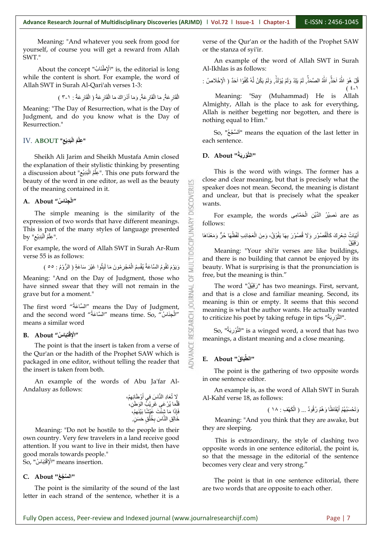Meaning: "And whatever you seek from good for yourself, of course you will get a reward from Allah SWT."<br>About the concept "الْإطْنَابُ" is, the editorial is long

while the content is short. For example, the word of Allah SWT in Surah Al-Qari'ah verses1-3:

الْقَارِعَةُ مَا الْقَارِعَةُ وَمَا أَدْرَاكَ مَا الْقَارِعَةُ ( الْقَارِعَةُ : ١-٣ )

Meaning: "The Day of Resurrection, what is the Day of Judgment, and do you know what is the Day of Resurrection."<br>IV. ABOUT "عِلْمُ الْبَدِيْعِ"

Sheikh Ali Jarim and Sheikh Mustafa Amin closed the explanation of their stylistic thinking by presenting a discussion about "عِلَّمُ الْبَدِيْعِ". This one puts forward the  $\hskip1cm$  This is th beauty of the word in one editor, as well as the beauty of the meaning contained in it. he meaning contained in it.<br>About "الْجِنَاسُ"<br>The simple meaning is the similarity of the

#### **A. About "ُة حاَِض لْا "**

expression of two words that have different meanings. This is part of the many styles of language presented  $\mathrm{by}$  "عِلْمُ الْبَدِيْع".

For example, the word of Allah SWT in Surah Ar-Rum verse 55 is as follows:

ثةَا حَلْ حْ حْا حع سُ) اْ تْ لَ ةَ : ٥٥ ( ةَ لْ ضْ ةمَ حِ حما ْحبض ضّةٌ اْل ْةْل تحْةَ ةَ اْ صّا حعُة

Meaning: "And on the Day of Judgment, those who grave but for a moment."

The first word "السَّاعَة" means the Day of Judgment, and the second word "السَّاعَةُ" means time. So, "المَسْاعَةُ" to criticize his means a similar word

#### **B.** About "الْإِقْتِبَاسُ" **لْالإض "**

have sinned swear that they will not remain in the<br>grave but for a moment."<br>The first word "أَلسَّاعَةُ" means the Day of Judgment,<br>and the second word "أَلسَّاعَةُ" means time. So, "أَبِعَثْنَيْاسُ" means a similar word<br> The point is that the insert is taken from a verse of the Qur'an or the hadith of the Prophet SAW which is packaged in one editor, without telling the reader that the insert is taken from both.

An example of the words of Abu Ja'far Al- Andalusy as follows:

> َلا تُعَادِ النَّاسَ في أَوْطَانِهِمْ،<br>قَلَّمَا يُرْعَىِ غَرِيْبُ الوَطَنِّ، قَلَّمَا يُرْ عَى غَرِيْبُ الْوَطَن، فَإِذَا مَا شِئْ خَالِقِ النَّاسَ بِخُلُقٍ حَسَنٍ.

Meaning: "Do not be hostile to the people in their they are sleeping. own country. Very few travelers in a land receive good attention. If you want to live in their midst, then have good morals towards people." So, "َة تضبحا لَالإض "means insertion.

#### **C. About "ِة ِل َس ْا "**

The point is the similarity of the sound of the last letter in each strand of the sentence, whether it is a

verse of the Qur'an or the hadith of the Prophet SAW or the stanza of syi'ir.

An example of the word of Allah SWT in Surah Al-Ikhlas is as follows:

ا ۚ قُلْ هُوَ اللّٰهُ اَحَذًّى اللّٰهُ الصَّمَذِّ لَمْ يَلِدْ وَلَمْ يُوْلَذِّ وَلَمْ يَكُنْ لَّهُ كُفُوًا اَحَدٌ ( الْإِخْلاصُ :  $(2 - 1)$ Meaning: "Say (Muhammad) He is Allah Almighty, Allah is the place to ask for everything, Allah is neither begetting nor begotten, and there is

So, "أَلْسَنَجْعُ" means the equation of the last letter in  $\; \; | \;$ each sentence.

#### **D. About "ةُحِْض َل سِْا "**

nothing equal to Him."

**MULTIDISCIPLINARY** 

This is the word with wings. The former has a close and clear meaning, but that is precisely what the speaker does not mean. Second, the meaning is distant and unclear, but that is precisely what the speaker wants.

For example, the words فَصِيْرُ الْدِّيْنِ الْحَمَّامِى  $\text{ are as } \left| \right.$ follows:

الْمَيَاتُ شِعْرِكَ كَالْقُصُوْرِ وَلَا قُصُوْرَ بِهَا يَفُوْقُ، وَمِنَ الْعَجَائِبِ لَفْظُهَا حُرٌّ وَمَغْنَاهَا رَ قَدْقُ

Meaning: "Your shi'ir verses are like buildings, and there is no building that cannot be enjoyed by its beauty. What is surprising is that the pronunciation is free, but the meaning is thin."

The word "رَقِيْقٌ" has two meanings. First, servant, and that is a close and familiar meaning. Second, its meaning is thin or empty. It seems that this second meaning is what the author wants. He actually wanted to criticize his poet by taking refuge in tips "ةُحُْض َل تصْا".

So, "ةُحُْض َل تصْا "is a winged word, a word that has two meanings, a distant meaning and a close meaning.

#### **E. About "ُة بحا طِْا "**

The point is the gathering of two opposite words in one sentence editor.

An example is, as the word of Allah SWT in Surah Al-Kahf verse 18, as follows:

هُمْ أَيْقَاظًا وَهُمْ رُقُودٌ ... ( الْكَهْفِ : ١٨ )

Meaning: "And you think that they are awake, but

This is extraordinary, the style of clashing two opposite words in one sentence editorial, the point is, so that the message in the editorial of the sentence becomes very clear and very strong."

The point is that in one sentence editorial, there are two words that are opposite to each other.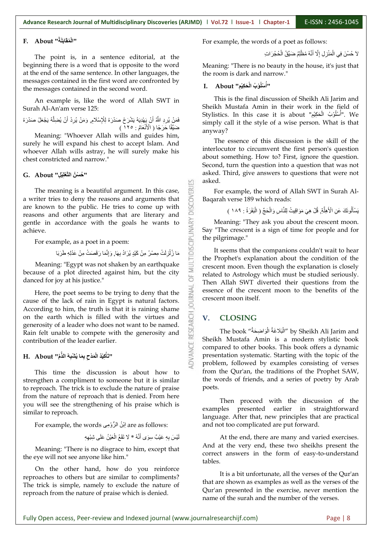#### **ةََحاَحْحُة" About .F لْا "**

The point is, in a sentence editorial, at the beginning there is a word that is opposite to the word at the end of the same sentence.In other languages, the messages contained in the first word are confronted by the messages contained in the second word.

An example is, like the word of Allah SWT in Surah Al-An'am verse 125:

فَمَنْ يُرِدِ اللَّهُ أَنْ يَهْدِيَهُ يَشْرَحْ صَدْرَهُ لِلْإِسْلَامِ, وَمَنْ يُرِدْ أَنْ يُضِلَّهُ يَجْعَلْ صَدْرَهُ صَيِّقًا حَرَجًا ( الْأَنْعَامُ : ١٢٥ )

Meaning: "Whoever Allah wills and guides him, surely he will expand his chest to accept Islam. And whoever Allah wills astray, he will surely make his chest constricted and narrow."

#### **G. About "ِض َل ضَْل سِْا ُة َل ُة "**

The meaning is a beautiful argument. In this case,<br>riter tries to deny the reasons and arguments that<br>known to the public. He tries to come up with<br>sons and other arguments that are literary and a writer tries to deny the reasons and arguments that are known to the public. He tries to come up with reasons and other arguments that are literary and<br>gentle in accordance with the goals he wants to<br>achieve.<br>For example, as a poet in a poem:<br> $\begin{array}{r} \begin{array}{r} \text{C} \\ \text{D} \end{array} \end{array}$  is a poet in a poem:<br> $\begin{array}{r} \text{C} \\ \text{D} \end$ gentle in accordance with the goals he wants to achieve.

For example, as a poet in a poem:

َآْ ۖ مَا زُلْزِلَتْ مِصْرُ مِنْ كَيْدٍ يُرَادُ بِهَا, وَإِنَّمَا رَقَصَتْ مِنْ عَدْلِهِ طَرَبَا

Meaning: "Egypt was not shaken by an earthquake because of a plot directed against him, but the city  $\frac{2}{10}$ danced for joy at his justice."

Here, the poet seems to be trying to deny that the<br>se of the lack of rain in Egypt is natural factors. cause of the lack of rain in Egypt is natural factors. According to him, the truth is that it is raining shame<br>
on the earth which is filled with the virtues and<br>
generosity of a leader who does not want to be named.<br>
Rain felt unable to compete with the generosity and<br>
contr on the earth which is filled with the virtues and  $\overline{Q}$  V. generosity of a leader who does not want to be named. Rain felt unable to compete with the generosity and contribution of the leader earlier.

#### **H. About "َس حَ لِ ضِ َض حَا ْة لْبضُة اْذس ضِلَ ةِ اْل لْحَ "**

This time the discussion is about how to strengthen a compliment to someone but it is similar to reproach. The trick is to exclude the nature of praise from the nature of reproach that is denied. From here you will see the strengthening of his praise which is similar to reproach.<br>For example, the words اِبْنُ الرُّوْمِي are as follows:

ةَ اْل ْصُة \* حّ تحْح ْح لْ حِ ِض ضُ حعلْ مٌ ضْ حَى َح

Meaning: "There is no disgrace to him, except that the eye will not see anyone like him."

On the other hand, how do you reinforce reproaches to others but are similar to compliments? The trick is simple, namely to exclude the nature of reproach from the nature of praise which is denied.

For example, the words of a poet as follows:

لَا حُسْنَ فِي الْمَنْزِلِ إِلَّا أَنَّهُ مُظْلِمٌ صَبَيِّقُ الْحُجُرَاتِ

Meaning: "There is no beauty in the house, it's just that the room is dark and narrow."

### **I. About "ُضَلِض َح لْا ُة َل ةْْل ةُ "**

This is the final discussion of Sheikh Ali Jarim and Sheikh Mustafa Amin in their work in the field of ". We . "أَسْلُوْبُ الْحَكِيْمِ" Distics. In this case it is about ."أَسْلُوْبُ الْحَكِيْمِ simply call it the style of a wise person. What is that anyway?

The essence of this discussion is the skill of the interlocutor to circumvent the first person's question about something. How to? First, ignore the question. Second, turn the question into a question that was not asked. Third, give answers to questions that were not asked.

For example, the word of Allah SWT in Surah Al- Baqarah verse 189 which reads:

| بَسْأَلُونَكَ عَنِ الْأَهِلَّةِ, قُلْ هِيَ مَوَاقِيتُ لِلنَّاسِ وَالْحَجِّ ( الْبَقَرَةُ : ١٨٩ )

Meaning: "They ask you about the crescent moon. Say "The crescent is a sign of time for people and for the pilgrimage."

It seems that the companions couldn't wait to hear the Prophet's explanation about the condition of the crescent moon. Even though the explanation is closely related to Astrology which must be studied seriously. Then Allah SWT diverted their questions from the essence of the crescent moon to the benefits of the crescent moon itself.

#### **V. CLOSING**

띱

The book ''الْبَلَاغَةُ الْوَاضِحَةُ'' by Sheikh Ali Jarim and Sheikh Mustafa Amin is a modern stylistic book compared to other books. This book offers a dynamic presentation systematic. Starting with the topic of the problem, followed by examples consisting of verses from the Qur'an, the traditions of the Prophet SAW, the words of friends, and a series of poetry by Arab

Then proceed with the discussion of the examples presented earlier in straightforward language. After that, new principles that are practical and not too complicated are put forward.

At the end, there are many and varied exercises. And at the very end, these two sheikhs present the correct answers in the form of easy-to-understand tables.<br>It is a bit unfortunate, all the verses of the Our'an

that are shown as examples as well as the verses of the Qur'an presented in the exercise, never mention the name of the surah and the number of the verses.